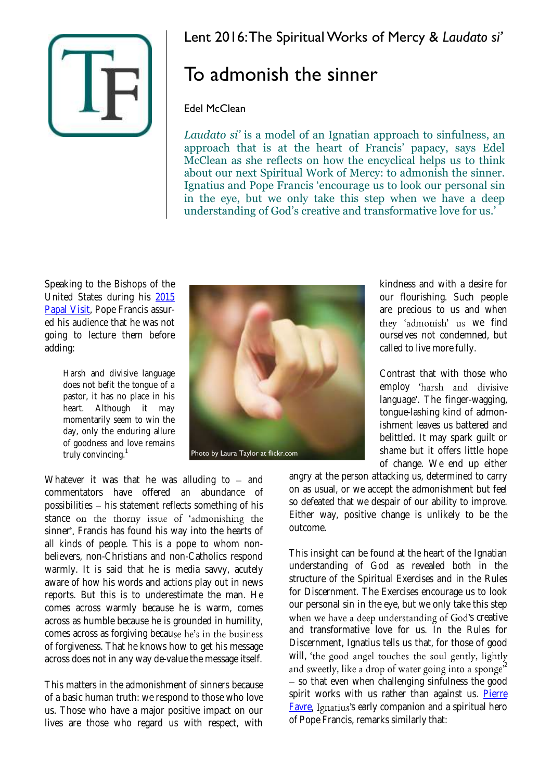

## To admonish the sinner

## Edel McClean

*Laudato si'* is a model of an Ignatian approach to sinfulness, an approach that is at the heart of Francis' papacy, says Edel McClean as she reflects on how the encyclical helps us to think about our next Spiritual Work of Mercy: to admonish the sinner. Ignatius and Pope Francis 'encourage us to look our personal sin in the eye, but we only take this step when we have a deep understanding of God's creative and transformative love for us.'

Speaking to the Bishops of the United States during his [2015](https://www.thinkingfaith.org/articles/pope-francis-and-american-dream)  [Papal Visit,](https://www.thinkingfaith.org/articles/pope-francis-and-american-dream) Pope Francis assured his audience that he was not going to lecture them before adding:

> Harsh and divisive language does not befit the tongue of a pastor, it has no place in his heart. Although it may momentarily seem to win the day, only the enduring allure of goodness and love remains truly convincing.<sup>1</sup>

Whatever it was that he was alluding to  $-$  and commentators have offered an abundance of possibilities  $-$  his statement reflects something of his stance on the thorny issue of 'admonishing the sinner'. Francis has found his way into the hearts of all kinds of people. This is a pope to whom nonbelievers, non-Christians and non-Catholics respond warmly. It is said that he is media savvy, acutely aware of how his words and actions play out in news reports. But this is to underestimate the man. He comes across warmly because he is warm, comes across as humble because he is grounded in humility, comes across as forgiving because he's in the business of forgiveness. That he knows how to get his message across does not in any way de-value the message itself.

This matters in the admonishment of sinners because of a basic human truth: we respond to those who love us. Those who have a major positive impact on our lives are those who regard us with respect, with



kindness and with a desire for our flourishing. Such people are precious to us and when they 'admonish' us we find ourselves not condemned, but called to live more fully.

Contrast that with those who employ 'harsh and divisive language'. The finger-wagging, tongue-lashing kind of admonishment leaves us battered and belittled. It may spark guilt or shame but it offers little hope of change. We end up either

angry at the person attacking us, determined to carry on as usual, or we accept the admonishment but feel so defeated that we despair of our ability to improve. Either way, positive change is unlikely to be the outcome.

This insight can be found at the heart of the Ignatian understanding of God as revealed both in the structure of the Spiritual Exercises and in the Rules for Discernment. The Exercises encourage us to look our personal sin in the eye, but we only take this step when we have a deep understanding of God's creative and transformative love for us. In the Rules for Discernment, Ignatius tells us that, for those of good will, 'the good angel touches the soul gently, lightly and sweetly, like a drop of water going into a sponge<sup>2</sup> - so that even when challenging sinfulness the good spirit works with us rather than against us. Pierre [Favre](https://www.thinkingfaith.org/articles/20130802_1.htm), Ignatius's early companion and a spiritual hero of Pope Francis, remarks similarly that: